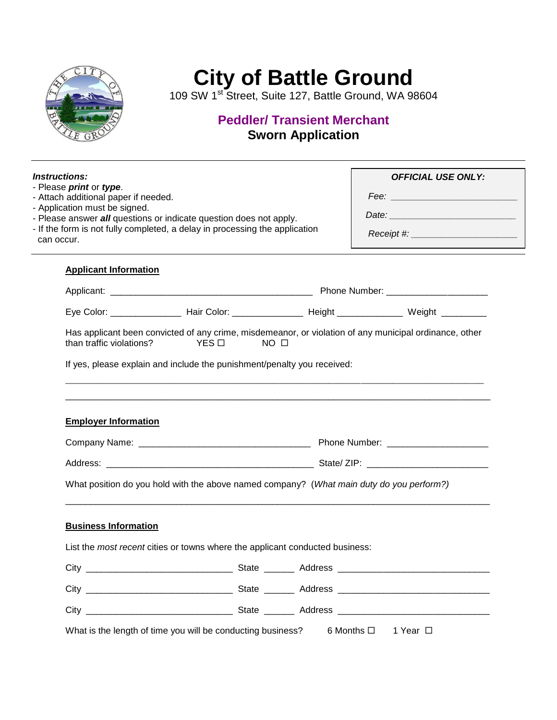

## **City of Battle Ground City of Battle Ground**

*W* 1<sup>st</sup> Street, Suite 127, Battle Ground, WA 986 109 SW 1<sup>st</sup> Street, Suite 127, Battle Ground, WA 98604

# **Peddler/Transient Merchant Peddler/ Transient Merchant Sworn Application Sworn Application**

| <i><b>Instructions:</b></i>                                     |                                                                                          |                                                                                                                                                   | <b>OFFICIAL USE ONLY:</b>                                                                                      |  |
|-----------------------------------------------------------------|------------------------------------------------------------------------------------------|---------------------------------------------------------------------------------------------------------------------------------------------------|----------------------------------------------------------------------------------------------------------------|--|
| - Please print or type.<br>- Attach additional paper if needed. |                                                                                          |                                                                                                                                                   |                                                                                                                |  |
| - Application must be signed.                                   |                                                                                          | - Please answer all questions or indicate question does not apply.<br>- If the form is not fully completed, a delay in processing the application |                                                                                                                |  |
|                                                                 |                                                                                          |                                                                                                                                                   |                                                                                                                |  |
| can occur.                                                      |                                                                                          |                                                                                                                                                   |                                                                                                                |  |
| <b>Applicant Information</b>                                    |                                                                                          |                                                                                                                                                   |                                                                                                                |  |
|                                                                 |                                                                                          |                                                                                                                                                   |                                                                                                                |  |
|                                                                 |                                                                                          |                                                                                                                                                   | Eye Color: _____________________ Hair Color: ________________________Height _________________ Weight _________ |  |
| than traffic violations?                                        | $YES$ $\square$<br>NO <sub>0</sub>                                                       |                                                                                                                                                   | Has applicant been convicted of any crime, misdemeanor, or violation of any municipal ordinance, other         |  |
|                                                                 |                                                                                          |                                                                                                                                                   |                                                                                                                |  |
|                                                                 | If yes, please explain and include the punishment/penalty you received:                  |                                                                                                                                                   |                                                                                                                |  |
| <b>Employer Information</b>                                     |                                                                                          |                                                                                                                                                   |                                                                                                                |  |
|                                                                 |                                                                                          |                                                                                                                                                   |                                                                                                                |  |
|                                                                 | What position do you hold with the above named company? (What main duty do you perform?) |                                                                                                                                                   |                                                                                                                |  |
| <b>Business Information</b>                                     |                                                                                          |                                                                                                                                                   |                                                                                                                |  |
|                                                                 | List the most recent cities or towns where the applicant conducted business:             |                                                                                                                                                   |                                                                                                                |  |
|                                                                 |                                                                                          |                                                                                                                                                   |                                                                                                                |  |
|                                                                 |                                                                                          |                                                                                                                                                   |                                                                                                                |  |